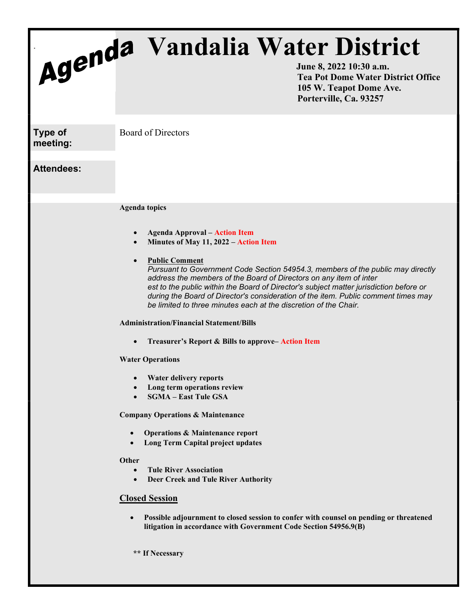|                            | Agenda Vandalia Water District<br><b>Tea Pot Dome Water District Office</b><br>105 W. Teapot Dome Ave.<br>Porterville, Ca. 93257                                                                                                                                                                                                                                                                                                                                                                                                                                                                                                                                                                                                                                                                                                                                                                                                                                                                                                                                                                 |
|----------------------------|--------------------------------------------------------------------------------------------------------------------------------------------------------------------------------------------------------------------------------------------------------------------------------------------------------------------------------------------------------------------------------------------------------------------------------------------------------------------------------------------------------------------------------------------------------------------------------------------------------------------------------------------------------------------------------------------------------------------------------------------------------------------------------------------------------------------------------------------------------------------------------------------------------------------------------------------------------------------------------------------------------------------------------------------------------------------------------------------------|
| <b>Type of</b><br>meeting: | <b>Board of Directors</b>                                                                                                                                                                                                                                                                                                                                                                                                                                                                                                                                                                                                                                                                                                                                                                                                                                                                                                                                                                                                                                                                        |
| <b>Attendees:</b>          |                                                                                                                                                                                                                                                                                                                                                                                                                                                                                                                                                                                                                                                                                                                                                                                                                                                                                                                                                                                                                                                                                                  |
|                            | <b>Agenda topics</b><br><b>Agenda Approval – Action Item</b><br>Minutes of May 11, 2022 – Action Item<br>$\bullet$<br><b>Public Comment</b><br>$\bullet$<br>Pursuant to Government Code Section 54954.3, members of the public may directly<br>address the members of the Board of Directors on any item of inter<br>est to the public within the Board of Director's subject matter jurisdiction before or<br>during the Board of Director's consideration of the item. Public comment times may<br>be limited to three minutes each at the discretion of the Chair.<br><b>Administration/Financial Statement/Bills</b><br>Treasurer's Report & Bills to approve-Action Item<br><b>Water Operations</b><br>Water delivery reports<br>Long term operations review<br><b>SGMA - East Tule GSA</b><br><b>Company Operations &amp; Maintenance</b><br><b>Operations &amp; Maintenance report</b><br>$\bullet$<br>Long Term Capital project updates<br>$\bullet$<br>Other<br><b>Tule River Association</b><br>$\bullet$<br>Deer Creek and Tule River Authority<br>$\bullet$<br><b>Closed Session</b> |
|                            | Possible adjournment to closed session to confer with counsel on pending or threatened<br>$\bullet$<br>litigation in accordance with Government Code Section 54956.9(B)                                                                                                                                                                                                                                                                                                                                                                                                                                                                                                                                                                                                                                                                                                                                                                                                                                                                                                                          |
|                            | ** If Necessary                                                                                                                                                                                                                                                                                                                                                                                                                                                                                                                                                                                                                                                                                                                                                                                                                                                                                                                                                                                                                                                                                  |